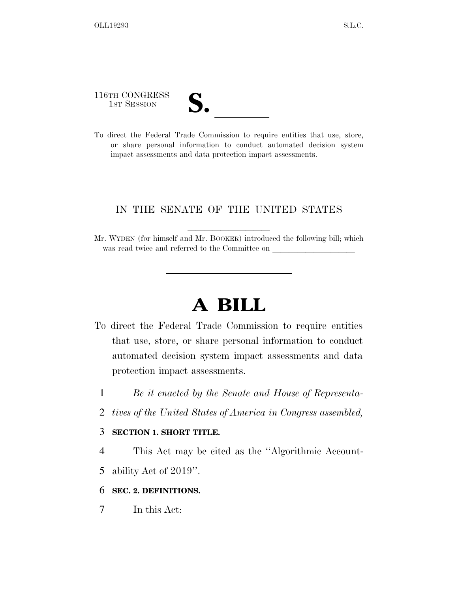116TH CONGRESS

| $\overline{\mathsf{v}}$ |  |
|-------------------------|--|
|                         |  |

116TH CONGRESS<br>
1ST SESSION<br>
To direct the Federal Trade Commission to require entities that use, store, or share personal information to conduct automated decision system impact assessments and data protection impact assessments.

### IN THE SENATE OF THE UNITED STATES

Mr. WYDEN (for himself and Mr. BOOKER) introduced the following bill; which was read twice and referred to the Committee on

# **A BILL**

- To direct the Federal Trade Commission to require entities that use, store, or share personal information to conduct automated decision system impact assessments and data protection impact assessments.
	- 1 *Be it enacted by the Senate and House of Representa-*
	- 2 *tives of the United States of America in Congress assembled,*

#### 3 **SECTION 1. SHORT TITLE.**

4 This Act may be cited as the ''Algorithmic Account-

5 ability Act of 2019''.

#### 6 **SEC. 2. DEFINITIONS.**

7 In this Act: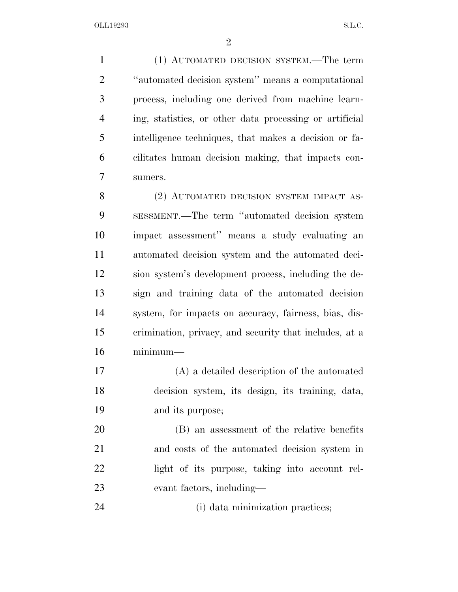(1) AUTOMATED DECISION SYSTEM.—The term ''automated decision system'' means a computational process, including one derived from machine learn- ing, statistics, or other data processing or artificial intelligence techniques, that makes a decision or fa- cilitates human decision making, that impacts con-sumers.

8 (2) AUTOMATED DECISION SYSTEM IMPACT AS- SESSMENT.—The term ''automated decision system impact assessment'' means a study evaluating an automated decision system and the automated deci- sion system's development process, including the de- sign and training data of the automated decision system, for impacts on accuracy, fairness, bias, dis- crimination, privacy, and security that includes, at a minimum—

 (A) a detailed description of the automated decision system, its design, its training, data, and its purpose;

 (B) an assessment of the relative benefits and costs of the automated decision system in light of its purpose, taking into account rel-evant factors, including—

24 (i) data minimization practices;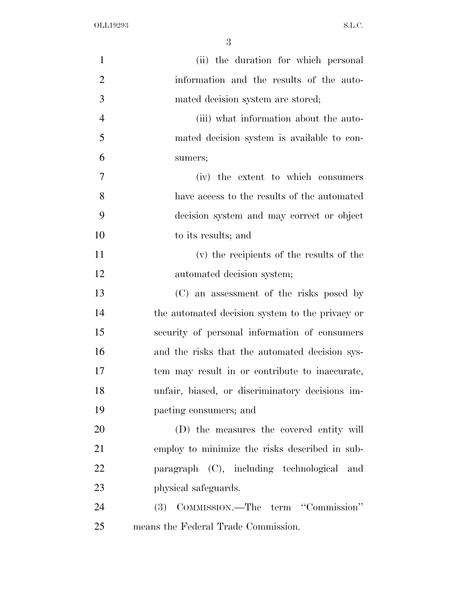OLL19293 S.L.C.

| $\mathbf{1}$   | (ii) the duration for which personal            |
|----------------|-------------------------------------------------|
| $\overline{2}$ | information and the results of the auto-        |
| 3              | mated decision system are stored;               |
| $\overline{4}$ | (iii) what information about the auto-          |
| 5              | mated decision system is available to con-      |
| 6              | sumers;                                         |
| 7              | (iv) the extent to which consumers              |
| 8              | have access to the results of the automated     |
| 9              | decision system and may correct or object       |
| 10             | to its results; and                             |
| 11             | (v) the recipients of the results of the        |
| 12             | automated decision system;                      |
| 13             | (C) an assessment of the risks posed by         |
| 14             | the automated decision system to the privacy or |
| 15             | security of personal information of consumers   |
| 16             | and the risks that the automated decision sys-  |
| 17             | tem may result in or contribute to inaccurate,  |
| 18             | unfair, biased, or discriminatory decisions im- |
| 19             | pacting consumers; and                          |
| 20             | (D) the measures the covered entity will        |
| 21             | employ to minimize the risks described in sub-  |
| 22             | paragraph (C), including technological and      |
| 23             | physical safeguards.                            |
| 24             | (3) COMMISSION.—The term "Commission"           |
| 25             | means the Federal Trade Commission.             |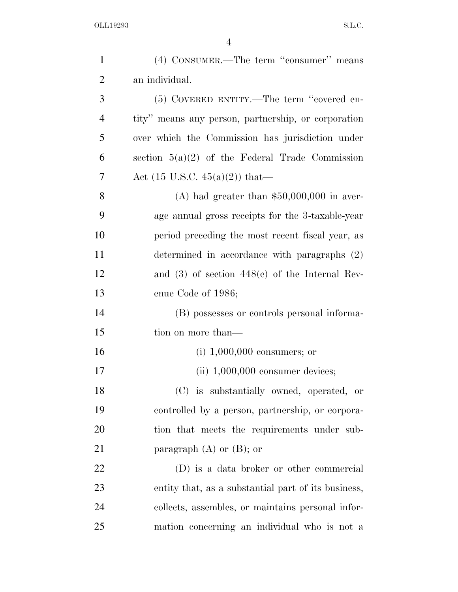| $\mathbf{1}$   | (4) CONSUMER.—The term "consumer" means             |
|----------------|-----------------------------------------------------|
| $\overline{2}$ | an individual.                                      |
| 3              | (5) COVERED ENTITY.—The term "covered en-           |
| $\overline{4}$ | tity" means any person, partnership, or corporation |
| 5              | over which the Commission has jurisdiction under    |
| 6              | section $5(a)(2)$ of the Federal Trade Commission   |
| 7              | Act (15 U.S.C. 45(a)(2)) that—                      |
| 8              | (A) had greater than $$50,000,000$ in aver-         |
| 9              | age annual gross receipts for the 3-taxable-year    |
| 10             | period preceding the most recent fiscal year, as    |
| 11             | determined in accordance with paragraphs (2)        |
| 12             | and $(3)$ of section $448(c)$ of the Internal Rev-  |
| 13             | enue Code of 1986;                                  |
| 14             | (B) possesses or controls personal informa-         |
| 15             | tion on more than—                                  |
| 16             | $(i)$ 1,000,000 consumers; or                       |
| 17             | $(ii)$ 1,000,000 consumer devices;                  |
| 18             | (C) is substantially owned, operated, or            |
| 19             | controlled by a person, partnership, or corpora-    |
| 20             | tion that meets the requirements under sub-         |
| 21             | paragraph $(A)$ or $(B)$ ; or                       |
| 22             | (D) is a data broker or other commercial            |
| 23             | entity that, as a substantial part of its business, |
| 24             | collects, assembles, or maintains personal infor-   |
| 25             | mation concerning an individual who is not a        |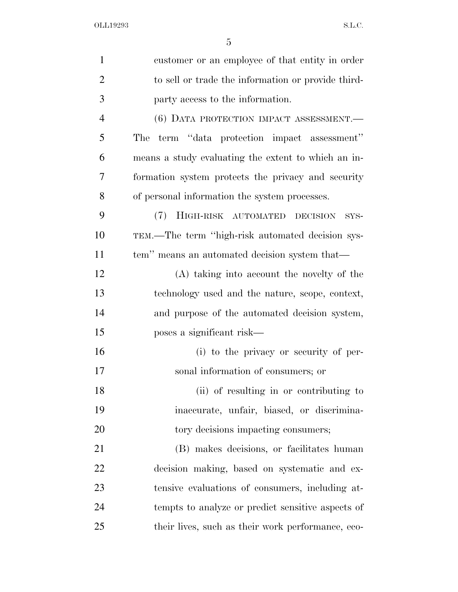| $\mathbf{1}$   | customer or an employee of that entity in order     |
|----------------|-----------------------------------------------------|
| $\overline{2}$ | to sell or trade the information or provide third-  |
| 3              | party access to the information.                    |
| $\overline{4}$ | (6) DATA PROTECTION IMPACT ASSESSMENT.              |
| 5              | term "data protection impact assessment"<br>The     |
| 6              | means a study evaluating the extent to which an in- |
| 7              | formation system protects the privacy and security  |
| 8              | of personal information the system processes.       |
| 9              | (7) HIGH-RISK AUTOMATED DECISION<br>SYS-            |
| 10             | TEM.—The term "high-risk automated decision sys-    |
| 11             | tem" means an automated decision system that—       |
| 12             | (A) taking into account the novelty of the          |
| 13             | technology used and the nature, scope, context,     |
| 14             | and purpose of the automated decision system,       |
| 15             | poses a significant risk—                           |
| 16             | (i) to the privacy or security of per-              |
| 17             | sonal information of consumers; or                  |
| 18             | (ii) of resulting in or contributing to             |
| 19             | inaccurate, unfair, biased, or discrimina-          |
| 20             | tory decisions impacting consumers;                 |
| 21             | (B) makes decisions, or facilitates human           |
| 22             | decision making, based on systematic and ex-        |
| 23             | tensive evaluations of consumers, including at-     |
| 24             | tempts to analyze or predict sensitive aspects of   |
| 25             | their lives, such as their work performance, eco-   |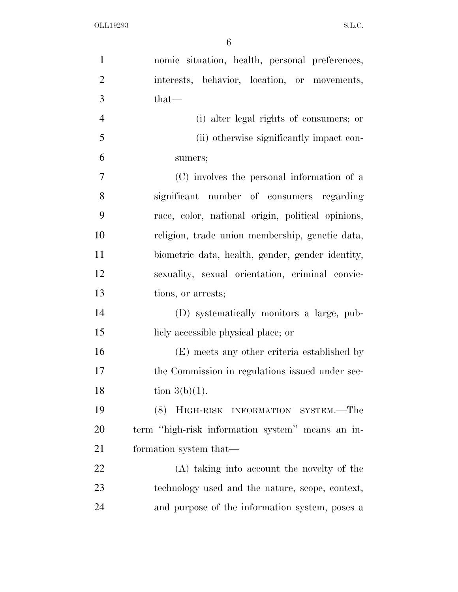| $\mathbf{1}$   | nomic situation, health, personal preferences,    |
|----------------|---------------------------------------------------|
| $\overline{2}$ | interests, behavior, location, or movements,      |
| 3              | $that-$                                           |
| $\overline{4}$ | (i) alter legal rights of consumers; or           |
| 5              | (ii) otherwise significantly impact con-          |
| 6              | sumers;                                           |
| $\tau$         | (C) involves the personal information of a        |
| 8              | significant number of consumers regarding         |
| 9              | race, color, national origin, political opinions, |
| 10             | religion, trade union membership, genetic data,   |
| 11             | biometric data, health, gender, gender identity,  |
| 12             | sexuality, sexual orientation, criminal convic-   |
| 13             | tions, or arrests;                                |
| 14             | (D) systematically monitors a large, pub-         |
| 15             | licly accessible physical place; or               |
| 16             | (E) meets any other criteria established by       |
| 17             | the Commission in regulations issued under sec-   |
| 18             | tion $3(b)(1)$ .                                  |
| 19             | (8) HIGH-RISK INFORMATION SYSTEM.—The             |
| 20             | term "high-risk information system" means an in-  |
| 21             | formation system that—                            |
| 22             | (A) taking into account the novelty of the        |
| 23             | technology used and the nature, scope, context,   |
| 24             | and purpose of the information system, poses a    |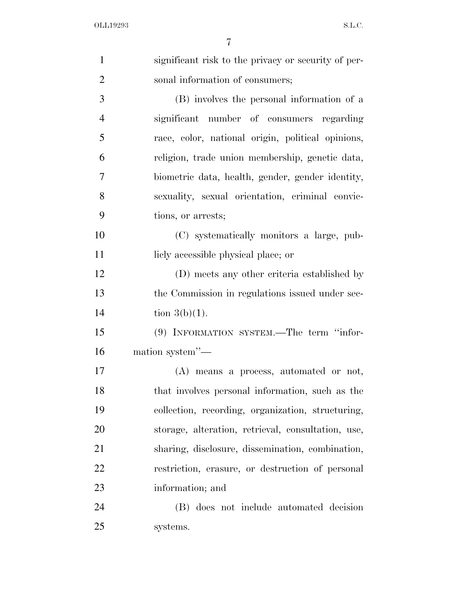| $\mathbf{1}$   | significant risk to the privacy or security of per- |
|----------------|-----------------------------------------------------|
| $\overline{2}$ | sonal information of consumers;                     |
| 3              | (B) involves the personal information of a          |
| $\overline{4}$ | significant number of consumers regarding           |
| 5              | race, color, national origin, political opinions,   |
| 6              | religion, trade union membership, genetic data,     |
| 7              | biometric data, health, gender, gender identity,    |
| 8              | sexuality, sexual orientation, criminal convic-     |
| 9              | tions, or arrests;                                  |
| 10             | (C) systematically monitors a large, pub-           |
| 11             | licly accessible physical place; or                 |
| 12             | (D) meets any other criteria established by         |
| 13             | the Commission in regulations issued under sec-     |
| 14             | tion $3(b)(1)$ .                                    |
| 15             | (9) INFORMATION SYSTEM.—The term "infor-            |
| 16             | mation system"-                                     |
| 17             | (A) means a process, automated or not,              |
| 18             | that involves personal information, such as the     |
| 19             | collection, recording, organization, structuring,   |
| 20             | storage, alteration, retrieval, consultation, use,  |
| 21             | sharing, disclosure, dissemination, combination,    |
| 22             | restriction, erasure, or destruction of personal    |
| 23             | information; and                                    |
| 24             | (B) does not include automated decision             |
| 25             | systems.                                            |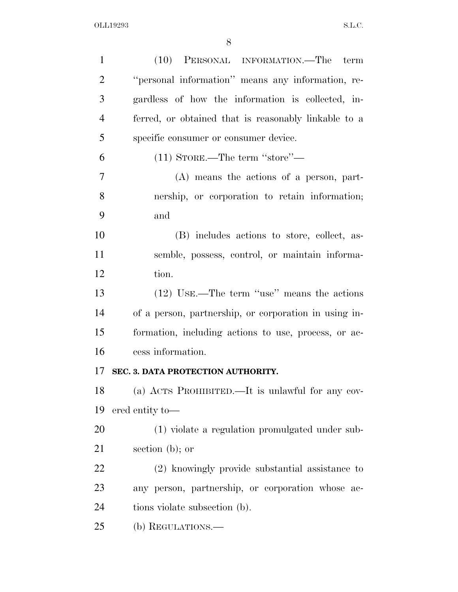| $\mathbf{1}$   | (10) PERSONAL INFORMATION.—The<br>term                |
|----------------|-------------------------------------------------------|
| $\overline{2}$ | "personal information" means any information, re-     |
| 3              | gardless of how the information is collected, in-     |
| $\overline{4}$ | ferred, or obtained that is reasonably linkable to a  |
| 5              | specific consumer or consumer device.                 |
| 6              | $(11)$ STORE.—The term "store"—                       |
| 7              | $(A)$ means the actions of a person, part-            |
| 8              | nership, or corporation to retain information;        |
| 9              | and                                                   |
| 10             | (B) includes actions to store, collect, as-           |
| 11             | semble, possess, control, or maintain informa-        |
| 12             | tion.                                                 |
| 13             | $(12)$ USE.—The term "use" means the actions          |
| 14             | of a person, partnership, or corporation in using in- |
| 15             | formation, including actions to use, process, or ac-  |
| 16             | cess information.                                     |
| 17             | SEC. 3. DATA PROTECTION AUTHORITY.                    |
| 18             | (a) ACTS PROHIBITED.—It is unlawful for any cov-      |
| 19             | ered entity to-                                       |
| 20             | (1) violate a regulation promulgated under sub-       |
| 21             | section $(b)$ ; or                                    |
| 22             | (2) knowingly provide substantial assistance to       |
| 23             | any person, partnership, or corporation whose ac-     |
| 24             | tions violate subsection (b).                         |
| 25             | (b) REGULATIONS.-                                     |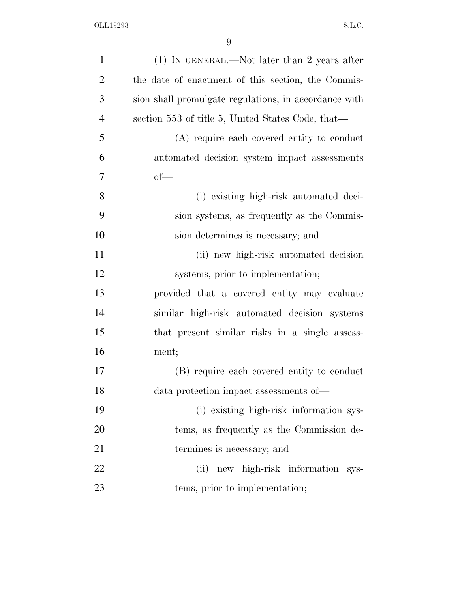| $\mathbf{1}$   | $(1)$ IN GENERAL.—Not later than 2 years after        |
|----------------|-------------------------------------------------------|
| $\overline{2}$ | the date of enactment of this section, the Commis-    |
| 3              | sion shall promulgate regulations, in accordance with |
| $\overline{4}$ | section 553 of title 5, United States Code, that—     |
| 5              | (A) require each covered entity to conduct            |
| 6              | automated decision system impact assessments          |
| 7              | $of$ —                                                |
| 8              | (i) existing high-risk automated deci-                |
| 9              | sion systems, as frequently as the Commis-            |
| 10             | sion determines is necessary; and                     |
| 11             | (ii) new high-risk automated decision                 |
| 12             | systems, prior to implementation;                     |
| 13             | provided that a covered entity may evaluate           |
| 14             | similar high-risk automated decision systems          |
| 15             | that present similar risks in a single assess-        |
| 16             | ment;                                                 |
| 17             | (B) require each covered entity to conduct            |
| 18             | data protection impact assessments of-                |
| 19             | (i) existing high-risk information sys-               |
| 20             | tems, as frequently as the Commission de-             |
| 21             | termines is necessary; and                            |
| 22             | new high-risk information sys-<br>(ii)                |
| 23             | tems, prior to implementation;                        |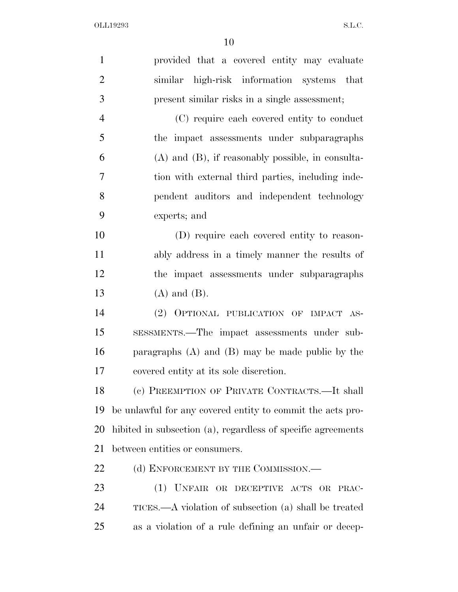| $\mathbf{1}$   | provided that a covered entity may evaluate                  |
|----------------|--------------------------------------------------------------|
| $\overline{2}$ | similar high-risk information systems that                   |
| 3              | present similar risks in a single assessment;                |
| $\overline{4}$ | (C) require each covered entity to conduct                   |
| 5              | the impact assessments under subparagraphs                   |
| 6              | $(A)$ and $(B)$ , if reasonably possible, in consulta-       |
| $\overline{7}$ | tion with external third parties, including inde-            |
| 8              | pendent auditors and independent technology                  |
| 9              | experts; and                                                 |
| 10             | (D) require each covered entity to reason-                   |
| 11             | ably address in a timely manner the results of               |
| 12             | the impact assessments under subparagraphs                   |
| 13             | $(A)$ and $(B)$ .                                            |
| 14             | (2) OPTIONAL PUBLICATION OF IMPACT AS-                       |
| 15             | SESSMENTS.—The impact assessments under sub-                 |
| 16             | paragraphs $(A)$ and $(B)$ may be made public by the         |
| 17             | covered entity at its sole discretion.                       |
| 18             | (c) PREEMPTION OF PRIVATE CONTRACTS.—It shall                |
| 19             | be unlawful for any covered entity to commit the acts pro-   |
| 20             | hibited in subsection (a), regardless of specific agreements |
| 21             | between entities or consumers.                               |
| 22             | (d) ENFORCEMENT BY THE COMMISSION.—                          |
| 23             | (1) UNFAIR OR DECEPTIVE ACTS OR PRAC-                        |
| 24             | TICES.—A violation of subsection (a) shall be treated        |
| 25             | as a violation of a rule defining an unfair or decep-        |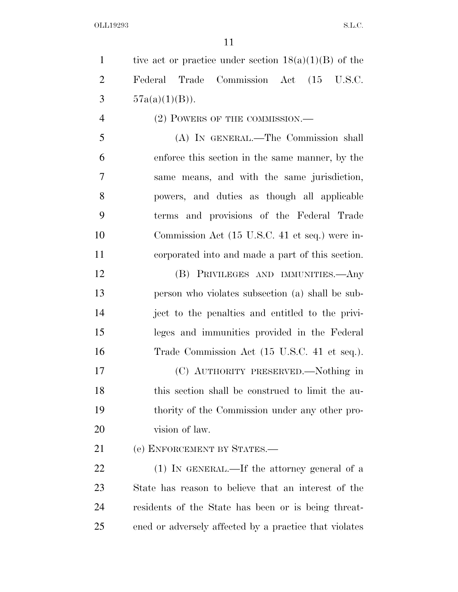OLL19293 S.L.C.

1 tive act or practice under section  $18(a)(1)(B)$  of the Federal Trade Commission Act (15 U.S.C. 3  $57a(a)(1)(B)$ . 4 (2) POWERS OF THE COMMISSION.—

 (A) IN GENERAL.—The Commission shall enforce this section in the same manner, by the same means, and with the same jurisdiction, powers, and duties as though all applicable terms and provisions of the Federal Trade Commission Act (15 U.S.C. 41 et seq.) were in-corporated into and made a part of this section.

 (B) PRIVILEGES AND IMMUNITIES.—Any person who violates subsection (a) shall be sub- ject to the penalties and entitled to the privi- leges and immunities provided in the Federal Trade Commission Act (15 U.S.C. 41 et seq.).

 (C) AUTHORITY PRESERVED.—Nothing in this section shall be construed to limit the au- thority of the Commission under any other pro-20 vision of law.

(e) ENFORCEMENT BY STATES.—

22 (1) IN GENERAL.—If the attorney general of a State has reason to believe that an interest of the residents of the State has been or is being threat-ened or adversely affected by a practice that violates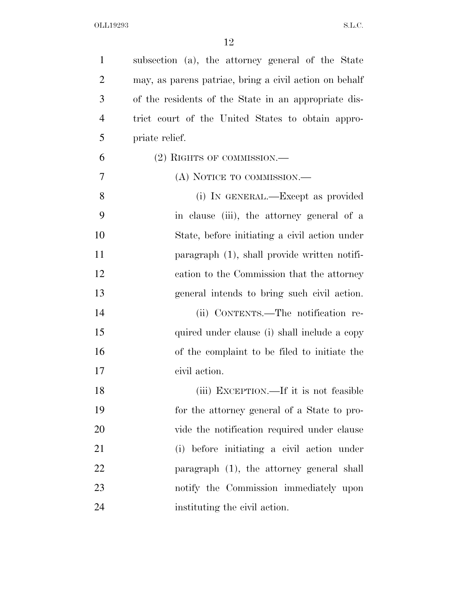OLL19293 S.L.C.

| $\mathbf{1}$   | subsection (a), the attorney general of the State      |
|----------------|--------------------------------------------------------|
| $\overline{2}$ | may, as parent patriae, bring a civil action on behalf |
| 3              | of the residents of the State in an appropriate dis-   |
| $\overline{4}$ | trict court of the United States to obtain appro-      |
| 5              | priate relief.                                         |
| 6              | $(2)$ RIGHTS OF COMMISSION.—                           |
| 7              | (A) NOTICE TO COMMISSION.—                             |
| 8              | (i) IN GENERAL.—Except as provided                     |
| 9              | in clause (iii), the attorney general of a             |
| 10             | State, before initiating a civil action under          |
| 11             | paragraph $(1)$ , shall provide written notifi-        |
| 12             | cation to the Commission that the attorney             |
| 13             | general intends to bring such civil action.            |
| 14             | (ii) CONTENTS.—The notification re-                    |
| 15             | quired under clause (i) shall include a copy           |
| 16             | of the complaint to be filed to initiate the           |
| 17             | civil action.                                          |
| 18             | (iii) EXCEPTION.—If it is not feasible                 |
| 19             | for the attorney general of a State to pro-            |
| 20             | vide the notification required under clause            |
| 21             | (i) before initiating a civil action under             |
| 22             | paragraph (1), the attorney general shall              |
| 23             | notify the Commission immediately upon                 |
| 24             | instituting the civil action.                          |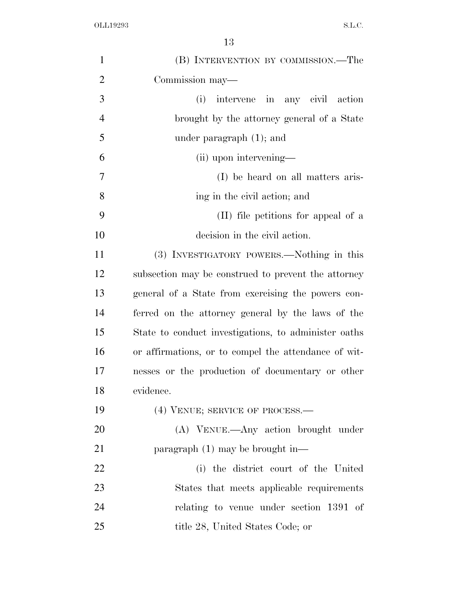| $\mathbf{1}$   | (B) INTERVENTION BY COMMISSION.—The                  |
|----------------|------------------------------------------------------|
| $\overline{2}$ | Commission may—                                      |
| 3              | intervene in any civil action<br>(i)                 |
| $\overline{4}$ | brought by the attorney general of a State           |
| 5              | under paragraph $(1)$ ; and                          |
| 6              | (ii) upon intervening—                               |
| 7              | (I) be heard on all matters aris-                    |
| 8              | ing in the civil action; and                         |
| 9              | (II) file petitions for appeal of a                  |
| 10             | decision in the civil action.                        |
| 11             | (3) INVESTIGATORY POWERS.—Nothing in this            |
| 12             | subsection may be construed to prevent the attorney  |
| 13             | general of a State from exercising the powers con-   |
| 14             | ferred on the attorney general by the laws of the    |
| 15             | State to conduct investigations, to administer oaths |
| 16             | or affirmations, or to compel the attendance of wit- |
| 17             | nesses or the production of documentary or other     |
| 18             | evidence.                                            |
| 19             | (4) VENUE; SERVICE OF PROCESS.-                      |
| 20             | (A) VENUE.—Any action brought under                  |
| 21             | paragraph $(1)$ may be brought in—                   |
| 22             | (i) the district court of the United                 |
| 23             | States that meets applicable requirements            |
| 24             | relating to venue under section 1391 of              |
| 25             | title 28, United States Code; or                     |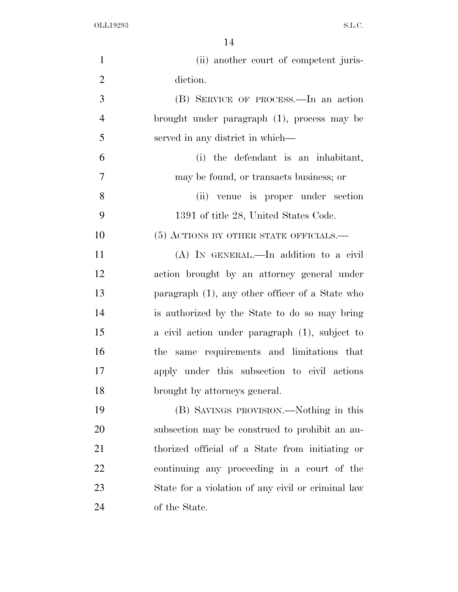| $\mathbf{1}$   | (ii) another court of competent juris-             |
|----------------|----------------------------------------------------|
| $\overline{2}$ | diction.                                           |
| 3              | (B) SERVICE OF PROCESS.—In an action               |
| $\overline{4}$ | brought under paragraph (1), process may be        |
| 5              | served in any district in which—                   |
| 6              | (i) the defendant is an inhabitant,                |
| $\overline{7}$ | may be found, or transacts business; or            |
| 8              | (ii) venue is proper under section                 |
| 9              | 1391 of title 28, United States Code.              |
| 10             | (5) ACTIONS BY OTHER STATE OFFICIALS.—             |
| 11             | (A) IN GENERAL.—In addition to a civil             |
| 12             | action brought by an attorney general under        |
| 13             | paragraph $(1)$ , any other officer of a State who |
| 14             | is authorized by the State to do so may bring      |
| 15             | a civil action under paragraph (1), subject to     |
| 16             | the same requirements and limitations that         |
| 17             | apply under this subsection to civil actions       |
| 18             | brought by attorneys general.                      |
| 19             | (B) SAVINGS PROVISION.—Nothing in this             |
| 20             | subsection may be construed to prohibit an au-     |
| 21             | thorized official of a State from initiating or    |
| 22             | continuing any proceeding in a court of the        |
| 23             | State for a violation of any civil or criminal law |
| 24             | of the State.                                      |